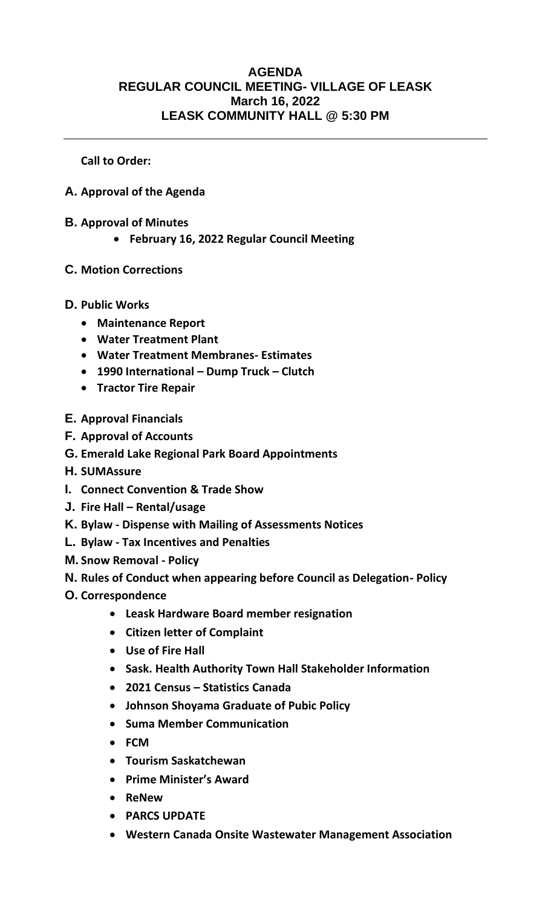## **AGENDA REGULAR COUNCIL MEETING- VILLAGE OF LEASK March 16, 2022 LEASK COMMUNITY HALL @ 5:30 PM**

**Call to Order:** 

- **A. Approval of the Agenda**
- **B. Approval of Minutes**
	- **February 16, 2022 Regular Council Meeting**
- **C. Motion Corrections**

## **D. Public Works**

- **Maintenance Report**
- **Water Treatment Plant**
- **Water Treatment Membranes- Estimates**
- **1990 International – Dump Truck – Clutch**
- **Tractor Tire Repair**
- **E. Approval Financials**
- **F. Approval of Accounts**
- **G. Emerald Lake Regional Park Board Appointments**
- **H. SUMAssure**
- **I. Connect Convention & Trade Show**
- **J. Fire Hall – Rental/usage**
- **K. Bylaw - Dispense with Mailing of Assessments Notices**
- **L. Bylaw - Tax Incentives and Penalties**
- **M. Snow Removal - Policy**
- **N. Rules of Conduct when appearing before Council as Delegation- Policy**
- **O. Correspondence**
	- **Leask Hardware Board member resignation**
	- **Citizen letter of Complaint**
	- **Use of Fire Hall**
	- **Sask. Health Authority Town Hall Stakeholder Information**
	- **2021 Census – Statistics Canada**
	- **Johnson Shoyama Graduate of Pubic Policy**
	- **Suma Member Communication**
	- **FCM**
	- **Tourism Saskatchewan**
	- **Prime Minister's Award**
	- **ReNew**
	- **PARCS UPDATE**
	- **Western Canada Onsite Wastewater Management Association**